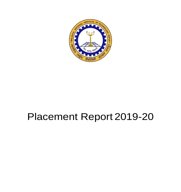

# Placement Report 2019-20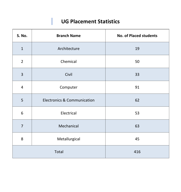# **UG Placement Statistics**

I

| S. No.         | <b>Branch Name</b>                     | <b>No. of Placed students</b> |
|----------------|----------------------------------------|-------------------------------|
| $\mathbf{1}$   | Architecture                           | 19                            |
| $\overline{2}$ | Chemical                               | 50                            |
| $\overline{3}$ | Civil                                  | 33                            |
| $\overline{4}$ | Computer                               | 91                            |
| 5              | <b>Electronics &amp; Communication</b> | 62                            |
| 6              | Electrical                             | 53                            |
| $\overline{7}$ | Mechanical                             | 63                            |
| 8              | Metallurgical                          | 45                            |
| Total          |                                        | 416                           |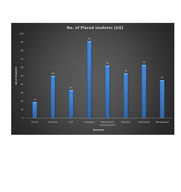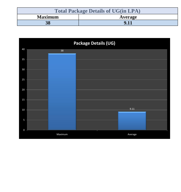| <b>Total Package Details of UG(in LPA)</b> |         |  |  |
|--------------------------------------------|---------|--|--|
| <b>Maximum</b>                             | Average |  |  |
| <b>38</b>                                  | 9.11    |  |  |

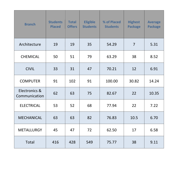| <b>Branch</b>                  | <b>Students</b><br><b>Placed</b> | <b>Total</b><br><b>Offers</b> | <b>Eligible</b><br><b>Students</b> | % of Placed<br><b>Students</b> | <b>Highest</b><br><b>Package</b> | <b>Average</b><br><b>Package</b> |
|--------------------------------|----------------------------------|-------------------------------|------------------------------------|--------------------------------|----------------------------------|----------------------------------|
| Architecture                   | 19                               | 19                            | 35                                 | 54.29                          | $\overline{7}$                   | 5.31                             |
| <b>CHEMICAL</b>                | 50                               | 51                            | 79                                 | 63.29                          | 38                               | 8.52                             |
| <b>CIVIL</b>                   | 33                               | 31                            | 47                                 | 70.21                          | 12                               | 6.91                             |
| <b>COMPUTER</b>                | 91                               | 102                           | 91                                 | 100.00                         | 30.82                            | 14.24                            |
| Electronics &<br>Communication | 62                               | 63                            | 75                                 | 82.67                          | 22                               | 10.35                            |
| <b>ELECTRICAL</b>              | 53                               | 52                            | 68                                 | 77.94                          | 22                               | 7.22                             |
| <b>MECHANICAL</b>              | 63                               | 63                            | 82                                 | 76.83                          | 10.5                             | 6.70                             |
| <b>METALLURGY</b>              | 45                               | 47                            | 72                                 | 62.50                          | 17                               | 6.58                             |
| Total                          | 416                              | 428                           | 549                                | 75.77                          | 38                               | 9.11                             |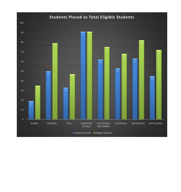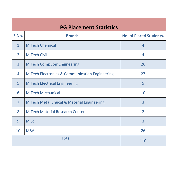## **PG Placement Statistics**

| S.No.          | <b>Branch</b>                                             | <b>No. of Placed Students.</b> |  |
|----------------|-----------------------------------------------------------|--------------------------------|--|
| $\mathbf{1}$   | <b>M.Tech Chemical</b>                                    | $\overline{4}$                 |  |
| $\overline{2}$ | <b>M.Tech Civil</b>                                       | $\overline{4}$                 |  |
| $\overline{3}$ | <b>M.Tech Computer Engineering</b>                        | 26                             |  |
| 4              | <b>M.Tech Electronics &amp; Communication Engineering</b> | 27                             |  |
| 5              | <b>M.Tech Electrical Engineering</b>                      | 5                              |  |
| 6              | <b>M.Tech Mechanical</b>                                  | 10                             |  |
| $\overline{7}$ | M.Tech Metallurgical & Material Engineering               | $\overline{3}$                 |  |
| 8              | <b>M.Tech Material Research Center</b>                    | $\overline{2}$                 |  |
| 9              | M.Sc.                                                     | $\overline{3}$                 |  |
| 10             | <b>MBA</b>                                                | 26                             |  |
| <b>Total</b>   |                                                           | 110                            |  |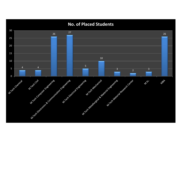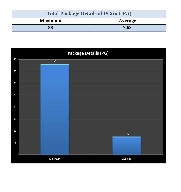| <b>Total Package Details of PG(in LPA)</b> |         |  |
|--------------------------------------------|---------|--|
| <b>Maximum</b>                             | Average |  |
| 38                                         | 7.62    |  |